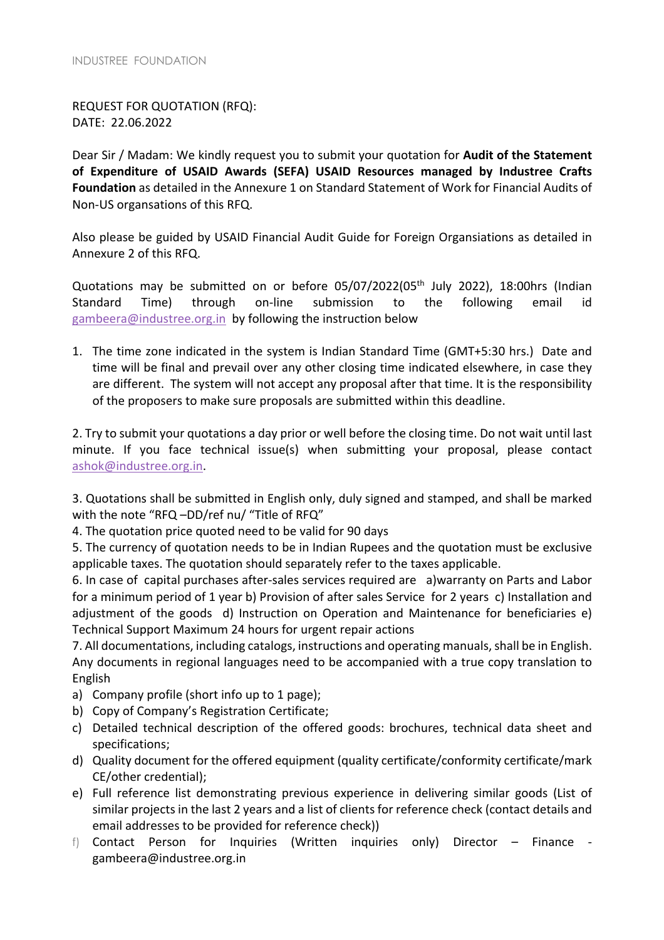REQUEST FOR QUOTATION (RFQ): DATE: 22.06.2022

Dear Sir / Madam: We kindly request you to submit your quotation for **Audit of the Statement of Expenditure of USAID Awards (SEFA) USAID Resources managed by Industree Crafts Foundation** as detailed in the Annexure 1 on Standard Statement of Work for Financial Audits of Non-US organsations of this RFQ.

Also please be guided by USAID Financial Audit Guide for Foreign Organsiations as detailed in Annexure 2 of this RFQ.

Quotations may be submitted on or before  $05/07/2022(05<sup>th</sup>)$  July 2022), 18:00hrs (Indian Standard Time) through on-line submission to the following email id gambeera@industree.org.in by following the instruction below

1. The time zone indicated in the system is Indian Standard Time (GMT+5:30 hrs.) Date and time will be final and prevail over any other closing time indicated elsewhere, in case they are different. The system will not accept any proposal after that time. It is the responsibility of the proposers to make sure proposals are submitted within this deadline.

2. Try to submit your quotations a day prior or well before the closing time. Do not wait until last minute. If you face technical issue(s) when submitting your proposal, please contact ashok@industree.org.in.

3. Quotations shall be submitted in English only, duly signed and stamped, and shall be marked with the note "RFQ –DD/ref nu/ "Title of RFQ"

4. The quotation price quoted need to be valid for 90 days

5. The currency of quotation needs to be in Indian Rupees and the quotation must be exclusive applicable taxes. The quotation should separately refer to the taxes applicable.

6. In case of capital purchases after-sales services required are a)warranty on Parts and Labor for a minimum period of 1 year b) Provision of after sales Service for 2 years c) Installation and adjustment of the goods d) Instruction on Operation and Maintenance for beneficiaries e) Technical Support Maximum 24 hours for urgent repair actions

7. All documentations, including catalogs, instructions and operating manuals, shall be in English. Any documents in regional languages need to be accompanied with a true copy translation to English

- a) Company profile (short info up to 1 page);
- b) Copy of Company's Registration Certificate;
- c) Detailed technical description of the offered goods: brochures, technical data sheet and specifications;
- d) Quality document for the offered equipment (quality certificate/conformity certificate/mark CE/other credential);
- e) Full reference list demonstrating previous experience in delivering similar goods (List of similar projects in the last 2 years and a list of clients for reference check (contact details and email addresses to be provided for reference check))
- f) Contact Person for Inquiries (Written inquiries only) Director Finance gambeera@industree.org.in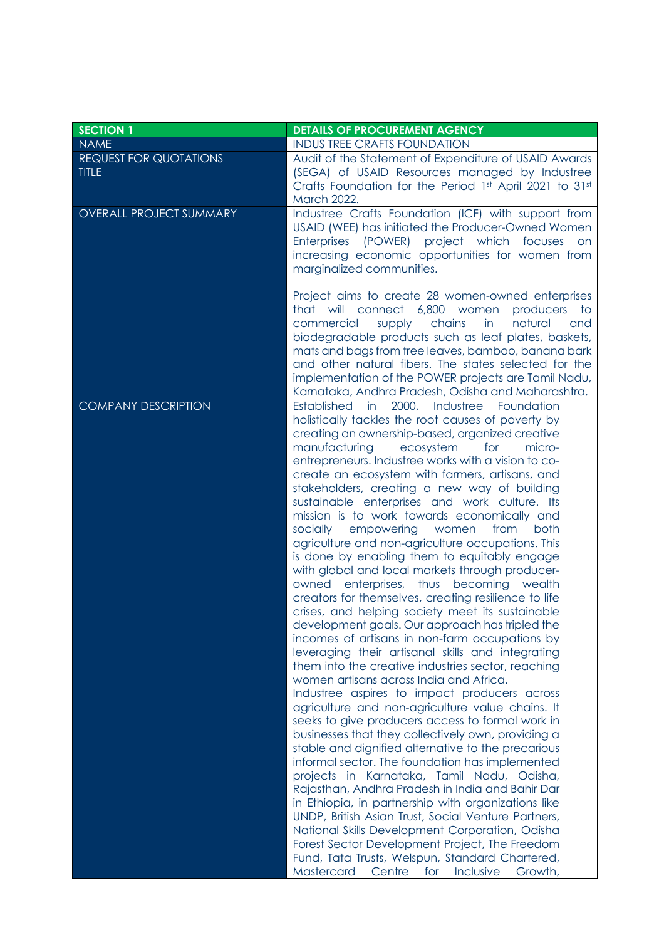| <b>DETAILS OF PROCUREMENT AGENCY</b>                                                                                                                                                                                                                                                                                                                                                                                                                                                                                                                                                                                                                                                                                                                                                                                                                                                                                                                                                                                                                                                                                                                                                                                                                                                                                                                                                                                                                                                                                                                                                                                                                                                                                                                                                                    |
|---------------------------------------------------------------------------------------------------------------------------------------------------------------------------------------------------------------------------------------------------------------------------------------------------------------------------------------------------------------------------------------------------------------------------------------------------------------------------------------------------------------------------------------------------------------------------------------------------------------------------------------------------------------------------------------------------------------------------------------------------------------------------------------------------------------------------------------------------------------------------------------------------------------------------------------------------------------------------------------------------------------------------------------------------------------------------------------------------------------------------------------------------------------------------------------------------------------------------------------------------------------------------------------------------------------------------------------------------------------------------------------------------------------------------------------------------------------------------------------------------------------------------------------------------------------------------------------------------------------------------------------------------------------------------------------------------------------------------------------------------------------------------------------------------------|
| <b>INDUS TREE CRAFTS FOUNDATION</b>                                                                                                                                                                                                                                                                                                                                                                                                                                                                                                                                                                                                                                                                                                                                                                                                                                                                                                                                                                                                                                                                                                                                                                                                                                                                                                                                                                                                                                                                                                                                                                                                                                                                                                                                                                     |
| Audit of the Statement of Expenditure of USAID Awards<br>(SEGA) of USAID Resources managed by Industree<br>Crafts Foundation for the Period 1st April 2021 to 31st<br>March 2022.                                                                                                                                                                                                                                                                                                                                                                                                                                                                                                                                                                                                                                                                                                                                                                                                                                                                                                                                                                                                                                                                                                                                                                                                                                                                                                                                                                                                                                                                                                                                                                                                                       |
| Industree Crafts Foundation (ICF) with support from<br>USAID (WEE) has initiated the Producer-Owned Women<br>Enterprises (POWER) project which focuses on<br>increasing economic opportunities for women from<br>marginalized communities.                                                                                                                                                                                                                                                                                                                                                                                                                                                                                                                                                                                                                                                                                                                                                                                                                                                                                                                                                                                                                                                                                                                                                                                                                                                                                                                                                                                                                                                                                                                                                              |
| Project aims to create 28 women-owned enterprises<br>connect 6,800 women<br>that will<br>producers<br>to to<br>chains<br>in<br>commercial<br>supply<br>natural<br>and<br>biodegradable products such as leaf plates, baskets,<br>mats and bags from tree leaves, bamboo, banana bark<br>and other natural fibers. The states selected for the<br>implementation of the POWER projects are Tamil Nadu,<br>Karnataka, Andhra Pradesh, Odisha and Maharashtra.                                                                                                                                                                                                                                                                                                                                                                                                                                                                                                                                                                                                                                                                                                                                                                                                                                                                                                                                                                                                                                                                                                                                                                                                                                                                                                                                             |
| 2000,<br>Industree<br><b>Established</b><br>in<br>Foundation<br>holistically tackles the root causes of poverty by<br>creating an ownership-based, organized creative<br>manufacturing<br>ecosystem<br>for<br>micro-<br>entrepreneurs. Industree works with a vision to co-<br>create an ecosystem with farmers, artisans, and<br>stakeholders, creating a new way of building<br>sustainable enterprises and work culture. Its<br>mission is to work towards economically and<br>socially<br>empowering women<br>from<br>both<br>agriculture and non-agriculture occupations. This<br>is done by enabling them to equitably engage<br>with global and local markets through producer-<br>owned enterprises, thus becoming wealth<br>creators for themselves, creating resilience to life<br>crises, and helping society meet its sustainable<br>development goals. Our approach has tripled the<br>incomes of artisans in non-farm occupations by<br>leveraging their artisanal skills and integrating<br>them into the creative industries sector, reaching<br>women artisans across India and Africa.<br>Industree aspires to impact producers across<br>agriculture and non-agriculture value chains. It<br>seeks to give producers access to formal work in<br>businesses that they collectively own, providing a<br>stable and dignified alternative to the precarious<br>informal sector. The foundation has implemented<br>projects in Karnataka, Tamil Nadu, Odisha,<br>Rajasthan, Andhra Pradesh in India and Bahir Dar<br>in Ethiopia, in partnership with organizations like<br>UNDP, British Asian Trust, Social Venture Partners,<br>National Skills Development Corporation, Odisha<br>Forest Sector Development Project, The Freedom<br>Fund, Tata Trusts, Welspun, Standard Chartered, |
|                                                                                                                                                                                                                                                                                                                                                                                                                                                                                                                                                                                                                                                                                                                                                                                                                                                                                                                                                                                                                                                                                                                                                                                                                                                                                                                                                                                                                                                                                                                                                                                                                                                                                                                                                                                                         |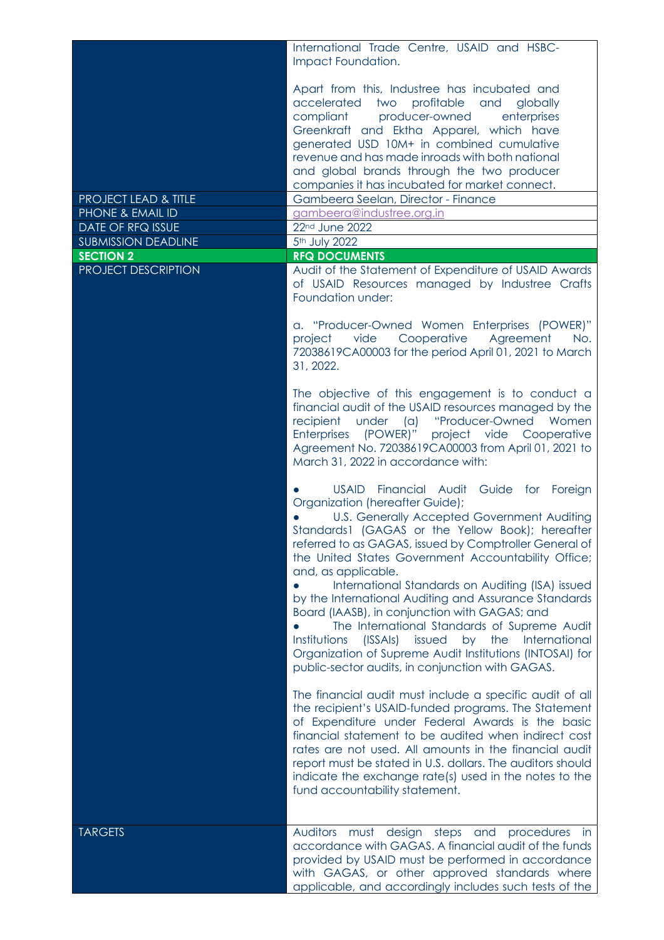|                                                | International Trade Centre, USAID and HSBC-<br>Impact Foundation.                                                                                                                                                                                                                                                                                                                                                                                                                                                                                                                                                                                                                                                              |
|------------------------------------------------|--------------------------------------------------------------------------------------------------------------------------------------------------------------------------------------------------------------------------------------------------------------------------------------------------------------------------------------------------------------------------------------------------------------------------------------------------------------------------------------------------------------------------------------------------------------------------------------------------------------------------------------------------------------------------------------------------------------------------------|
|                                                | Apart from this, Industree has incubated and<br>accelerated<br>two<br>profitable<br>and<br>globally<br>producer-owned<br>compliant<br>enterprises<br>Greenkraft and Ektha Apparel, which have<br>generated USD 10M+ in combined cumulative<br>revenue and has made inroads with both national<br>and global brands through the two producer<br>companies it has incubated for market connect.                                                                                                                                                                                                                                                                                                                                  |
| <b>PROJECT LEAD &amp; TITLE</b>                | Gambeera Seelan, Director - Finance                                                                                                                                                                                                                                                                                                                                                                                                                                                                                                                                                                                                                                                                                            |
| PHONE & EMAIL ID                               | gambeera@industree.org.in                                                                                                                                                                                                                                                                                                                                                                                                                                                                                                                                                                                                                                                                                                      |
| DATE OF RFQ ISSUE                              | 22nd June 2022                                                                                                                                                                                                                                                                                                                                                                                                                                                                                                                                                                                                                                                                                                                 |
| <b>SUBMISSION DEADLINE</b><br><b>SECTION 2</b> | 5 <sup>th</sup> July 2022<br><b>RFQ DOCUMENTS</b>                                                                                                                                                                                                                                                                                                                                                                                                                                                                                                                                                                                                                                                                              |
| PROJECT DESCRIPTION                            | Audit of the Statement of Expenditure of USAID Awards<br>of USAID Resources managed by Industree Crafts<br>Foundation under:<br>a. "Producer-Owned Women Enterprises (POWER)"<br>Cooperative<br>vide<br>Agreement<br>project<br>No.<br>72038619CA00003 for the period April 01, 2021 to March<br>31, 2022.                                                                                                                                                                                                                                                                                                                                                                                                                     |
|                                                | The objective of this engagement is to conduct a<br>financial audit of the USAID resources managed by the<br>under<br>"Producer-Owned<br>recipient<br>(a)<br>Women<br>Enterprises (POWER)" project vide Cooperative<br>Agreement No. 72038619CA00003 from April 01, 2021 to<br>March 31, 2022 in accordance with:                                                                                                                                                                                                                                                                                                                                                                                                              |
|                                                | <b>USAID</b><br>Financial Audit Guide for Foreign<br>Organization (hereafter Guide);<br>U.S. Generally Accepted Government Auditing<br>Standards1 (GAGAS or the Yellow Book); hereafter<br>referred to as GAGAS, issued by Comptroller General of<br>the United States Government Accountability Office;<br>and, as applicable.<br>International Standards on Auditing (ISA) issued<br>by the International Auditing and Assurance Standards<br>Board (IAASB), in conjunction with GAGAS; and<br>The International Standards of Supreme Audit<br>Institutions<br>(ISSAIs)<br>by the<br>International<br>issued<br>Organization of Supreme Audit Institutions (INTOSAI) for<br>public-sector audits, in conjunction with GAGAS. |
|                                                | The financial audit must include a specific audit of all<br>the recipient's USAID-funded programs. The Statement<br>of Expenditure under Federal Awards is the basic<br>financial statement to be audited when indirect cost<br>rates are not used. All amounts in the financial audit<br>report must be stated in U.S. dollars. The auditors should<br>indicate the exchange rate(s) used in the notes to the<br>fund accountability statement.                                                                                                                                                                                                                                                                               |
| <b>TARGETS</b>                                 | Auditors must design steps and<br>procedures<br>- in<br>accordance with GAGAS. A financial audit of the funds<br>provided by USAID must be performed in accordance<br>with GAGAS, or other approved standards where<br>applicable, and accordingly includes such tests of the                                                                                                                                                                                                                                                                                                                                                                                                                                                  |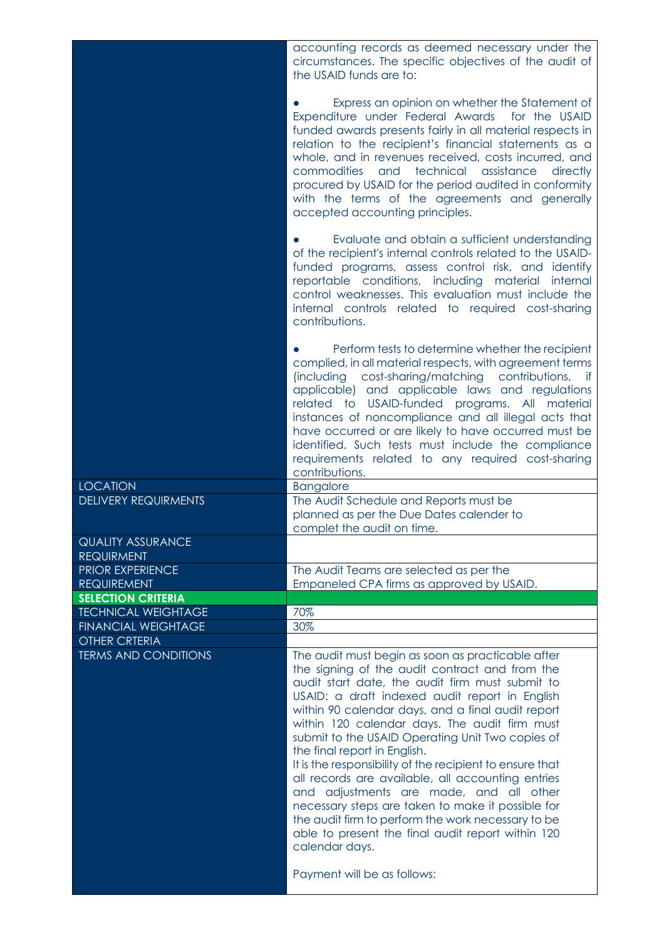|                                                 | accounting records as deemed necessary under the<br>circumstances. The specific objectives of the audit of<br>the USAID funds are to:                                                                                                                                                                                                                                                                                                                                                                                                                                                                                                                                                                                                            |
|-------------------------------------------------|--------------------------------------------------------------------------------------------------------------------------------------------------------------------------------------------------------------------------------------------------------------------------------------------------------------------------------------------------------------------------------------------------------------------------------------------------------------------------------------------------------------------------------------------------------------------------------------------------------------------------------------------------------------------------------------------------------------------------------------------------|
|                                                 | Express an opinion on whether the Statement of<br>Expenditure under Federal Awards<br>for the USAID<br>funded awards presents fairly in all material respects in<br>relation to the recipient's financial statements as a<br>whole, and in revenues received, costs incurred, and<br>and<br>technical<br>commodities<br>assistance<br>directly<br>procured by USAID for the period audited in conformity<br>with the terms of the agreements and generally<br>accepted accounting principles.                                                                                                                                                                                                                                                    |
|                                                 | Evaluate and obtain a sufficient understanding<br>of the recipient's internal controls related to the USAID-<br>funded programs, assess control risk, and identify<br>reportable conditions, including<br>material<br>internal<br>control weaknesses. This evaluation must include the<br>internal controls related to required cost-sharing<br>contributions.                                                                                                                                                                                                                                                                                                                                                                                   |
|                                                 | Perform tests to determine whether the recipient<br>complied, in all material respects, with agreement terms<br>cost-sharing/matching contributions,<br><i>(including</i><br>if<br>applicable) and applicable laws and regulations<br>related to USAID-funded programs. All material<br>instances of noncompliance and all illegal acts that<br>have occurred or are likely to have occurred must be<br>identified. Such tests must include the compliance<br>requirements related to any required cost-sharing<br>contributions.                                                                                                                                                                                                                |
| <b>LOCATION</b>                                 | <b>Bangalore</b>                                                                                                                                                                                                                                                                                                                                                                                                                                                                                                                                                                                                                                                                                                                                 |
| <b>DELIVERY REQUIRMENTS</b>                     | The Audit Schedule and Reports must be<br>planned as per the Due Dates calender to<br>complet the audit on time.                                                                                                                                                                                                                                                                                                                                                                                                                                                                                                                                                                                                                                 |
| <b>QUALITY ASSURANCE</b><br><b>REQUIRMENT</b>   |                                                                                                                                                                                                                                                                                                                                                                                                                                                                                                                                                                                                                                                                                                                                                  |
| <b>PRIOR EXPERIENCE</b>                         | The Audit Teams are selected as per the                                                                                                                                                                                                                                                                                                                                                                                                                                                                                                                                                                                                                                                                                                          |
| <b>REQUIREMENT</b><br><b>SELECTION CRITERIA</b> | Empaneled CPA firms as approved by USAID.                                                                                                                                                                                                                                                                                                                                                                                                                                                                                                                                                                                                                                                                                                        |
| <b>TECHNICAL WEIGHTAGE</b>                      | 70%                                                                                                                                                                                                                                                                                                                                                                                                                                                                                                                                                                                                                                                                                                                                              |
| <b>FINANCIAL WEIGHTAGE</b>                      | 30%                                                                                                                                                                                                                                                                                                                                                                                                                                                                                                                                                                                                                                                                                                                                              |
| <b>OTHER CRTERIA</b>                            |                                                                                                                                                                                                                                                                                                                                                                                                                                                                                                                                                                                                                                                                                                                                                  |
| <b>TERMS AND CONDITIONS</b>                     | The audit must begin as soon as practicable after<br>the signing of the audit contract and from the<br>audit start date, the audit firm must submit to<br>USAID: a draft indexed audit report in English<br>within 90 calendar days, and a final audit report<br>within 120 calendar days. The audit firm must<br>submit to the USAID Operating Unit Two copies of<br>the final report in English.<br>It is the responsibility of the recipient to ensure that<br>all records are available, all accounting entries<br>and adjustments are made, and all other<br>necessary steps are taken to make it possible for<br>the audit firm to perform the work necessary to be<br>able to present the final audit report within 120<br>calendar days. |
|                                                 | Payment will be as follows:                                                                                                                                                                                                                                                                                                                                                                                                                                                                                                                                                                                                                                                                                                                      |